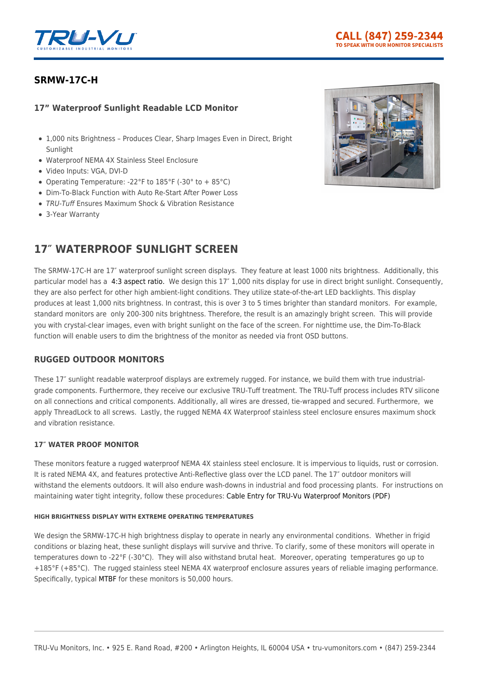

# **[SRMW-17C-H](https://tru-vumonitors.com/products/srmw-17c-h/)**

# **17" Waterproof Sunlight Readable LCD Monitor**

- 1,000 nits Brightness Produces Clear, Sharp Images Even in Direct, Bright Sunlight
- Waterproof NEMA 4X Stainless Steel Enclosure
- Video Inputs: VGA, DVI-D
- Operating Temperature: -22°F to 185°F (-30° to + 85°C)
- Dim-To-Black Function with Auto Re-Start After Power Loss
- TRU-Tuff Ensures Maximum Shock & Vibration Resistance
- 3-Year Warranty

# **17″ WATERPROOF SUNLIGHT SCREEN**

The SRMW-17C-H are 17″ waterproof sunlight screen displays. They feature at least 1000 nits brightness. Additionally, this particular model has a [4:3 aspect ratio.](https://tru-vumonitors.com/4by3-monitors/) We design this 17″ 1,000 nits display for use in direct bright sunlight. Consequently, they are also perfect for other high ambient-light conditions. They utilize state-of-the-art LED backlights. This display produces at least 1,000 nits brightness. In contrast, this is over 3 to 5 times brighter than standard monitors. For example, standard monitors are only 200-300 nits brightness. Therefore, the result is an amazingly bright screen. This will provide you with crystal-clear images, even with bright sunlight on the face of the screen. For nighttime use, the Dim-To-Black function will enable users to dim the brightness of the monitor as needed via front OSD buttons.

## **RUGGED OUTDOOR MONITORS**

These 17″ sunlight readable waterproof displays are extremely rugged. For instance, we build them with true industrialgrade components. Furthermore, they receive our exclusive TRU-Tuff treatment. The TRU-Tuff process includes RTV silicone on all connections and critical components. Additionally, all wires are dressed, tie-wrapped and secured. Furthermore, we apply ThreadLock to all screws. Lastly, the rugged NEMA 4X Waterproof stainless steel enclosure ensures maximum shock and vibration resistance.

## **17″ WATER PROOF MONITOR**

These monitors feature a rugged waterproof NEMA 4X stainless steel enclosure. It is impervious to liquids, rust or corrosion. It is rated NEMA 4X, and features protective Anti-Reflective glass over the LCD panel. The 17" outdoor monitors will withstand the elements outdoors. It will also endure wash-downs in industrial and food processing plants. For instructions on maintaining water tight integrity, follow these procedures: [Cable Entry for TRU-Vu Waterproof Monitors \(PDF\)](https://16xfon1vsba94cids52k0kzh-wpengine.netdna-ssl.com/wp-content/uploads/2020/01/Cable_Entry_for_Waterproof_Monitors.pdf)

#### **HIGH BRIGHTNESS DISPLAY WITH EXTREME OPERATING TEMPERATURES**

We design the SRMW-17C-H high brightness display to operate in nearly any environmental conditions. Whether in frigid conditions or blazing heat, these sunlight displays will survive and thrive. To clarify, some of these monitors will operate in temperatures down to -22°F (-30°C). They will also withstand brutal heat. Moreover, operating temperatures go up to +185°F (+85°C). The rugged stainless steel NEMA 4X waterproof enclosure assures years of reliable imaging performance. Specifically, typical [MTBF](https://en.wikipedia.org/wiki/Mean_time_between_failures) for these monitors is 50,000 hours.

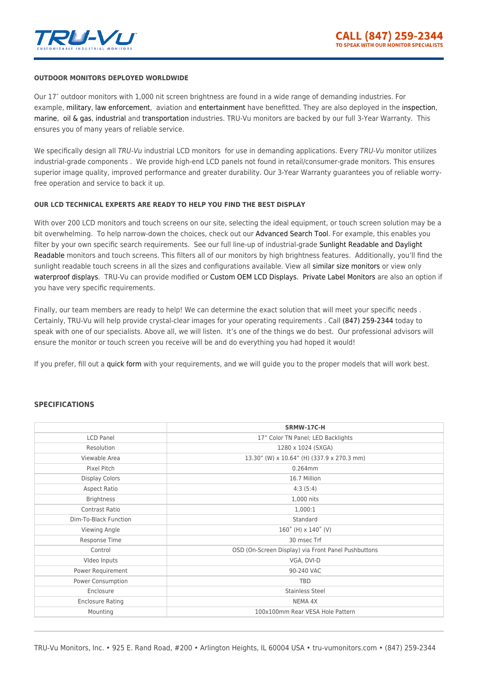

#### **OUTDOOR MONITORS DEPLOYED WORLDWIDE**

Our 17″ outdoor monitors with 1,000 nit screen brightness are found in a wide range of demanding industries. For example, [military,](https://tru-vumonitors.com/industries/military/) [law enforcement,](https://tru-vumonitors.com/industries/military/) aviation and [entertainment](https://tru-vumonitors.com/industries/sports-stadiums/) have benefitted. They are also deployed in the [inspection](https://tru-vumonitors.com/industries/automation-machine-vision/), [marine](https://tru-vumonitors.com/industries/marine/), [oil & gas](https://tru-vumonitors.com/industries/oil-gas/), [industrial](https://tru-vumonitors.com/industries/industrial/) and [transportation](https://tru-vumonitors.com/industries/mass-transit/) industries. TRU-Vu monitors are backed by our full 3-Year Warranty. This ensures you of many years of reliable service.

We specifically design all TRU-Vu industrial LCD monitors for use in demanding applications. Every TRU-Vu monitor utilizes industrial-grade components . We provide high-end LCD panels not found in retail/consumer-grade monitors. This ensures superior image quality, improved performance and greater durability. Our 3-Year Warranty guarantees you of reliable worryfree operation and service to back it up.

#### **OUR LCD TECHNICAL EXPERTS ARE READY TO HELP YOU FIND THE BEST DISPLAY**

With over 200 LCD monitors and touch screens on our site, selecting the ideal equipment, or touch screen solution may be a bit overwhelming. To help narrow-down the choices, check out our [Advanced Search Tool.](https://tru-vumonitors.com/products/) For example, this enables you filter by your own specific search requirements. See our full line-up of industrial-grade [Sunlight Readable and Daylight](https://tru-vumonitors.com/sunlight-readable-monitors/) [Readable](https://tru-vumonitors.com/sunlight-readable-monitors/) monitors and touch screens. This filters all of our monitors by high brightness features. Additionally, you'll find the sunlight readable touch screens in all the sizes and configurations available. View all [similar size monitors](https://tru-vumonitors.com/13in-to-19in-monitors/) or view only [waterproof displays](https://tru-vumonitors.com/waterproof-monitors/). TRU-Vu can provide modified or [Custom OEM LCD Displays.](https://tru-vumonitors.com/custom-monitors/) [Private Label Monitors](https://tru-vumonitors.com/private-label-monitors/) are also an option if you have very specific requirements.

Finally, our team members are ready to help! We can determine the exact solution that will meet your specific needs. Certainly, TRU-Vu will help provide crystal-clear images for your operating requirements . Call [\(847\) 259-2344](#page--1-0) today to speak with one of our specialists. Above all, we will listen. It's one of the things we do best. Our professional advisors will ensure the monitor or touch screen you receive will be and do everything you had hoped it would!

If you prefer, fill out a [quick form](https://tru-vumonitors.com/request-quote/) with your requirements, and we will guide you to the proper models that will work best.

### **SPECIFICATIONS**

|                         | SRMW-17C-H                                          |
|-------------------------|-----------------------------------------------------|
| <b>LCD Panel</b>        | 17" Color TN Panel; LED Backlights                  |
| Resolution              | 1280 x 1024 (SXGA)                                  |
| Viewable Area           | 13.30" (W) x 10.64" (H) (337.9 x 270.3 mm)          |
| Pixel Pitch             | 0.264mm                                             |
| <b>Display Colors</b>   | 16.7 Million                                        |
| Aspect Ratio            | 4:3(5:4)                                            |
| <b>Brightness</b>       | 1,000 nits                                          |
| Contrast Ratio          | 1,000:1                                             |
| Dim-To-Black Function   | Standard                                            |
| Viewing Angle           | $160^{\circ}$ (H) x $140^{\circ}$ (V)               |
| Response Time           | 30 msec Trf                                         |
| Control                 | OSD (On-Screen Display) via Front Panel Pushbuttons |
| Video Inputs            | VGA, DVI-D                                          |
| Power Requirement       | 90-240 VAC                                          |
| Power Consumption       | TBD                                                 |
| Enclosure               | <b>Stainless Steel</b>                              |
| <b>Enclosure Rating</b> | NEMA 4X                                             |
| Mounting                | 100x100mm Rear VESA Hole Pattern                    |